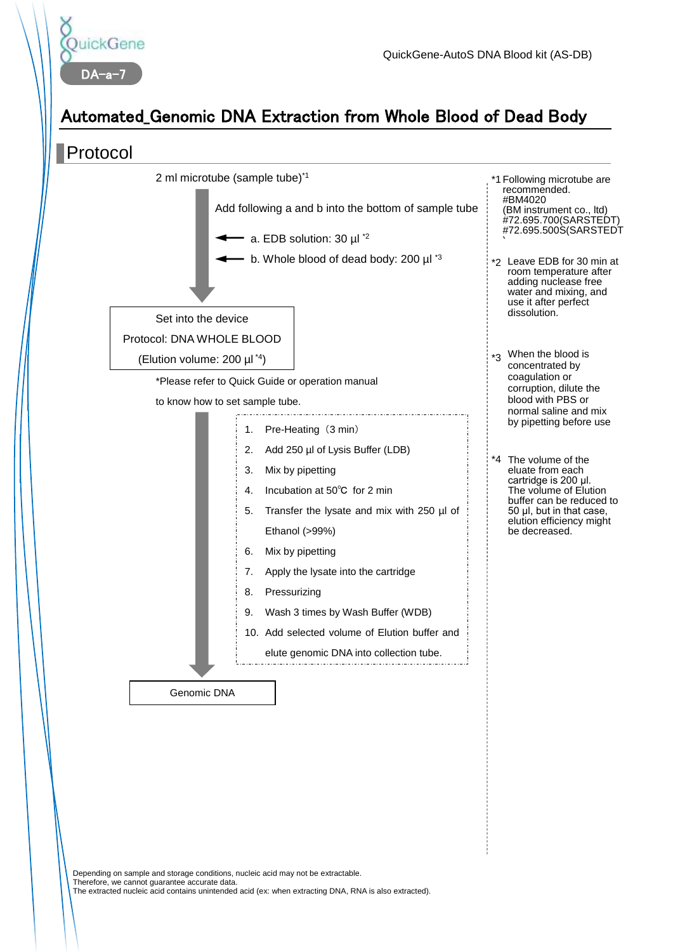

## Automated\_Genomic DNA Extraction from Whole Blood of Dead Body



Depending on sample and storage conditions, nucleic acid may not be extractable. Therefore, we cannot guarantee accurate data. The extracted nucleic acid contains unintended acid (ex: when extracting DNA, RNA is also extracted).